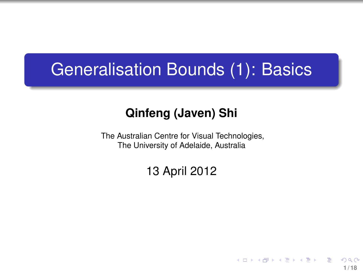### Generalisation Bounds (1): Basics

#### **Qinfeng (Javen) Shi**

The Australian Centre for Visual Technologies, The University of Adelaide, Australia

#### 13 April 2012

<span id="page-0-0"></span>**1 / 18**

イロトメ 御 トメ 君 トメ 君 トッ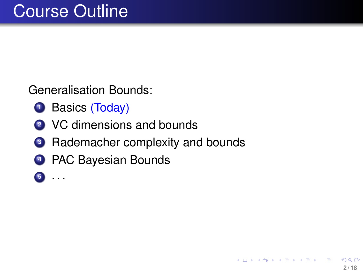Generalisation Bounds:

- **1** Basics (Today)
- **<sup>2</sup>** VC dimensions and bounds
- **3** Rademacher complexity and bounds
- **<sup>4</sup>** PAC Bayesian Bounds
- **<sup>5</sup>** · · ·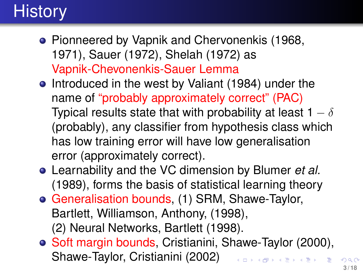# **History**

- **Pionneered by Vapnik and Chervonenkis (1968,** 1971), Sauer (1972), Shelah (1972) as Vapnik-Chevonenkis-Sauer Lemma
- Introduced in the west by Valiant (1984) under the name of "probably approximately correct" (PAC) Typical results state that with probability at least 1  $- \delta$ (probably), any classifier from hypothesis class which has low training error will have low generalisation error (approximately correct).
- Learnability and the VC dimension by Blumer *et al.* (1989), forms the basis of statistical learning theory
- Generalisation bounds, (1) SRM, Shawe-Taylor, Bartlett, Williamson, Anthony, (1998), (2) Neural Networks, Bartlett (1998).
- Soft margin bounds, Cristianini, Shawe-Taylor (2000), Shawe-Taylor, Cristianini (2002)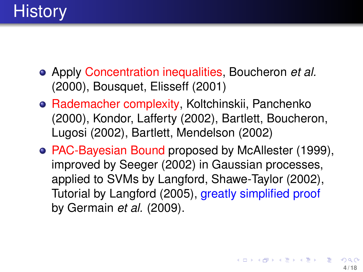- Apply Concentration inequalities, Boucheron *et al.* (2000), Bousquet, Elisseff (2001)
- Rademacher complexity, Koltchinskii, Panchenko (2000), Kondor, Lafferty (2002), Bartlett, Boucheron, Lugosi (2002), Bartlett, Mendelson (2002)
- PAC-Bayesian Bound proposed by McAllester (1999), improved by Seeger (2002) in Gaussian processes, applied to SVMs by Langford, Shawe-Taylor (2002), Tutorial by Langford (2005), greatly simplified proof by Germain *et al.* (2009).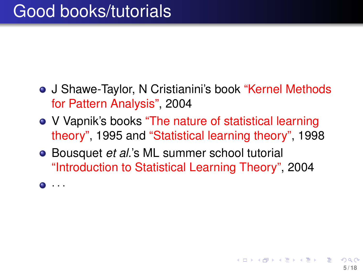- J Shawe-Taylor, N Cristianini's book "Kernel Methods" for Pattern Analysis", 2004
- V Vapnik's books "The nature of statistical learning theory", 1995 and "Statistical learning theory", 1998
- Bousquet *et al.*'s ML summer school tutorial "Introduction to Statistical Learning Theory", 2004
- · · ·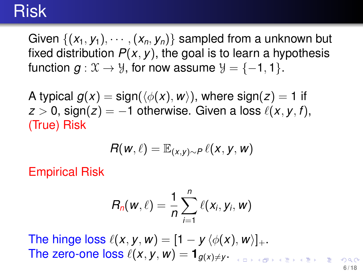### Risk

Given  $\{(x_1, y_1), \cdots, (x_n, y_n)\}$  sampled from a unknown but fixed distribution  $P(x, y)$ , the goal is to learn a hypothesis function  $g: \mathfrak{X} \to \mathfrak{Y}$ , for now assume  $\mathfrak{Y} = \{-1, 1\}$ .

A typical  $g(x) = \text{sign}(\langle \phi(x), w \rangle)$ , where  $\text{sign}(z) = 1$  if  $z > 0$ , sign(*z*) = −1 otherwise. Given a loss  $\ell(x, y, f)$ , (True) Risk

$$
R(w,\ell) = \mathbb{E}_{(x,y)\sim P} \ell(x,y,w)
$$

Empirical Risk

$$
R_n(w,\ell)=\frac{1}{n}\sum_{i=1}^n\ell(x_i,y_i,w)
$$

The hinge loss  $\ell(x, y, w) = [1 - y \langle \phi(x), w \rangle]_+.$ The zero-one loss  $\ell(x, y, w) = \mathbf{1}_{g(x) \neq y}$ .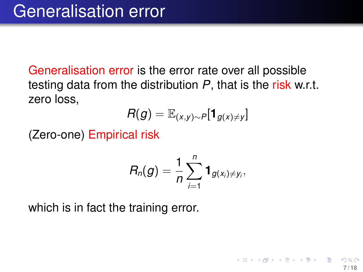Generalisation error is the error rate over all possible testing data from the distribution *P*, that is the risk w.r.t. zero loss,

$$
R(g) = \mathbb{E}_{(x,y)\sim P}[\mathbf{1}_{g(x)\neq y}]
$$

(Zero-one) Empirical risk

$$
R_n(g)=\frac{1}{n}\sum_{i=1}^n\mathbf{1}_{g(x_i)\neq y_i},
$$

which is in fact the training error.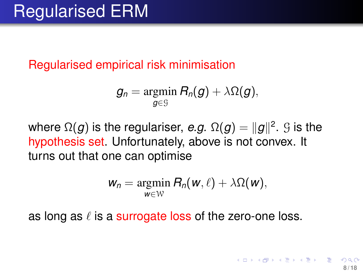Regularised empirical risk minimisation

$$
g_n = \operatornamewithlimits{argmin}_{g \in \mathcal{G}} R_n(g) + \lambda \Omega(g),
$$

where  $\Omega(g)$  is the regulariser, *e.g.*  $\Omega(g) = \|g\|^2.$   $\mathcal G$  is the hypothesis set. Unfortunately, above is not convex. It turns out that one can optimise

<span id="page-7-0"></span>
$$
w_n = \operatorname*{argmin}_{w \in W} R_n(w, \ell) + \lambda \Omega(w),
$$

as long as  $\ell$  is a surrogate loss of the zero-one loss.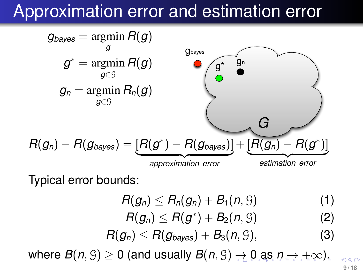### Approximation error and estimation error



Typical error bounds:

- $R(g_n) \leq R_n(g_n) + B_1(n, \mathcal{G})$  (1)
- $R(g_n) \le R(g^*) + B_2(n, 9)$  (2)
- $R(g_n) \le R(g_{\text{baves}}) + B_3(n, 9),$  (3)

where $B(n, \mathcal{G}) \geq 0$  $B(n, \mathcal{G}) \geq 0$  (a[n](#page-0-0)d usually  $B(n, \mathcal{G}) \rightarrow 0$  $B(n, \mathcal{G}) \rightarrow 0$  $B(n, \mathcal{G}) \rightarrow 0$  [as](#page-8-0)  $n \rightarrow +\infty$  $n \rightarrow +\infty$  $n \rightarrow +\infty$ )[.](#page-17-0)

<span id="page-8-0"></span>**9 / 18**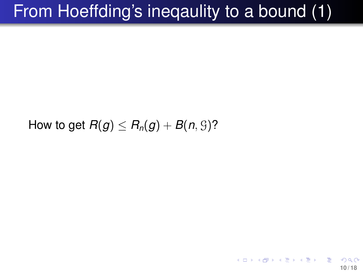# From Hoeffding's ineqaulity to a bound (1)

#### <span id="page-9-0"></span>How to get  $R(g) < R_n(g) + B(n, 9)$ ?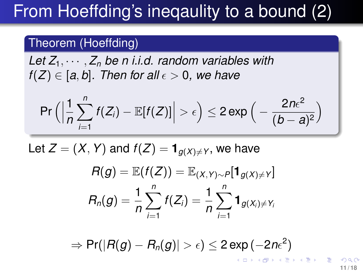# From Hoeffding's ineqaulity to a bound (2)

#### Theorem (Hoeffding)

Let  $Z_1, \dots, Z_n$  be n *i.i.d.* random variables with *f*(*Z*)  $\in$  [*a*, *b*]. Then for all  $\epsilon$   $>$  0, we have

$$
\Pr\Big(\Big|\frac{1}{n}\sum_{i=1}^n f(Z_i) - \mathbb{E}[f(Z)]\Big| > \epsilon\Big) \leq 2\exp\Big(-\frac{2n\epsilon^2}{(b-a)^2}\Big)
$$

Let  $Z = (X, Y)$  and  $f(Z) = \mathbf{1}_{g(X) \neq Y}$ , we have

$$
R(g) = \mathbb{E}(f(Z)) = \mathbb{E}_{(X,Y)\sim P}[\mathbf{1}_{g(X)\neq Y}]
$$
  

$$
R_n(g) = \frac{1}{n} \sum_{i=1}^n f(Z_i) = \frac{1}{n} \sum_{i=1}^n \mathbf{1}_{g(X_i)\neq Y_i}
$$

 $\Rightarrow$  Pr( $|R(g)-R_n(g)|>\epsilon)\leq 2\exp{(-2n\epsilon^2)}$ K ロ ▶ K 個 ▶ K 重 ▶ K 重 ▶ …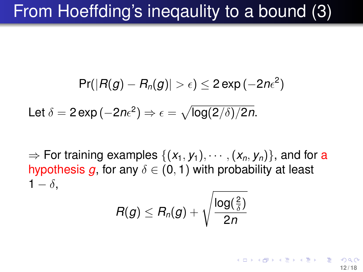# From Hoeffding's ineqaulity to a bound (3)

$$
\textsf{Pr}(|R(g)-R_{\textsf{n}}(g)|>\epsilon)\leq 2\exp{(-2n\epsilon^2)}
$$

Let  $\delta = 2\exp\left(-2n\epsilon^2\right) \Rightarrow \epsilon = \sqrt{\log(2/\delta)/2n}.$ 

 $\Rightarrow$  For training examples  $\{(x_1, y_1), \cdots, (x_n, y_n)\}$ , and for a hypothesis *g*, for any  $\delta \in (0,1)$  with probability at least  $1 - \delta$ .

$$
R(g) \leq R_n(g) + \sqrt{\frac{\log(\frac{2}{\delta})}{2n}}
$$

<span id="page-11-0"></span>K ロ ▶ K 優 ▶ K 결 ▶ K 결 ▶ │ 결 **12 / 18**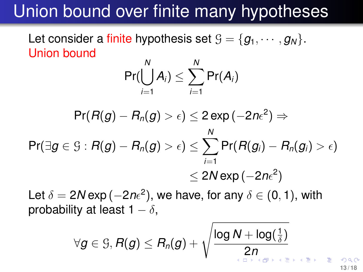### Union bound over finite many hypotheses

Let consider a finite hypothesis set  $\mathcal{G} = \{g_1, \dots, g_N\}.$ Union bound

$$
\Pr(\bigcup_{i=1}^N A_i) \leq \sum_{i=1}^N \Pr(A_i)
$$

$$
\begin{aligned} \mathsf{Pr}(R(g)-R_n(g)>\epsilon) &\leq 2\exp\left(-2n\epsilon^2\right) \Rightarrow \\ \mathsf{Pr}(\exists g\in\mathcal{G}:R(g)-R_n(g)>\epsilon) &\leq \sum_{i=1}^N\mathsf{Pr}(R(g_i)-R_n(g_i)>\epsilon) \\ &\leq 2N\exp\left(-2n\epsilon^2\right) \end{aligned}
$$

Let  $\delta = 2N$  exp ( $-2n\epsilon^2$ ), we have, for any  $\delta \in (0,1)$ , with probability at least  $1 - \delta$ ,

$$
\forall g \in \mathcal{G}, R(g) \leq R_n(g) + \sqrt{\frac{\log N + \log(\frac{1}{\delta})}{2n}} \text{ for } n \leq n \leq n+1}
$$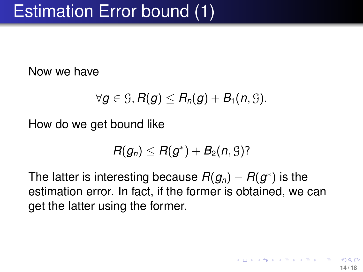Now we have

$$
\forall g \in \mathcal{G}, R(g) \leq R_n(g) + B_1(n, \mathcal{G}).
$$

How do we get bound like

<span id="page-13-0"></span>
$$
R(g_n) \leq R(g^*) + B_2(n, \mathcal{G})
$$
?

The latter is interesting because  $R(g_n)-R(g^*)$  is the estimation error. In fact, if the former is obtained, we can get the latter using the former.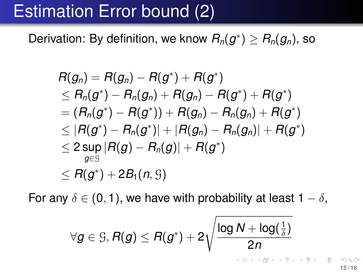# Estimation Error bound (2)

Derivation: By definition, we know  $R_n(g^*)\geq R_n(g_n)$ , so

$$
\begin{aligned} &R(g_n)=R(g_n)-R(g^*)+R(g^*)\\ &\leq R_n(g^*)-R_n(g_n)+R(g_n)-R(g^*)+R(g^*)\\ &= (R_n(g^*)-R(g^*))+R(g_n)-R_n(g_n)+R(g^*)\\ &\leq |R(g^*)-R_n(g^*)|+|R(g_n)-R_n(g_n)|+R(g^*)\\ &\leq 2\sup_{g\in \mathcal{G}}|R(g)-R_n(g)|+R(g^*)\\ &\leq R(g^*)+2B_1(n,\mathcal{G})\end{aligned}
$$

For any  $\delta \in (0, 1)$ , we have with probability at least  $1 - \delta$ ,

$$
\forall g \in \mathcal{G}, R(g) \leq R(g^*) + 2\sqrt{\frac{\log N + \log(\frac{1}{\delta})}{2n}}
$$

**15 / 18**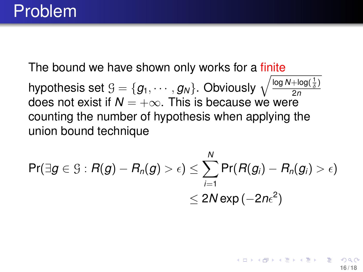The bound we have shown only works for a finite hypothesis set  $\mathfrak{G}=\{\pmb{\mathcal{g}}_1,\cdots,\pmb{\mathcal{g}}_N\}$ . Obviously  $\sqrt{\frac{\log N+\log(\frac{1}{\delta})}{2n}}$ 2*n* does not exist if  $N = +\infty$ . This is because we were counting the number of hypothesis when applying the union bound technique

$$
\begin{aligned} \mathsf{Pr}(\exists g \in \mathcal{G}: R(g) - R_n(g) > \epsilon) &\leq \sum_{i=1}^N \mathsf{Pr}(R(g_i) - R_n(g_i) > \epsilon) \\ &\leq 2N\exp\left(-2n\epsilon^2\right) \end{aligned}
$$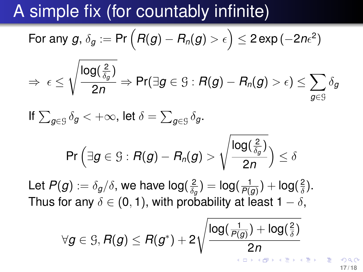### A simple fix (for countably infinite)

For any 
$$
g
$$
,  $\delta_g := \Pr\left(R(g) - R_n(g) > \epsilon\right) \leq 2 \exp\left(-2n\epsilon^2\right)$ 

$$
\Rightarrow \,\, \epsilon \leq \sqrt{\frac{\log(\frac{2}{\delta_g})}{2n}} \Rightarrow \Pr(\exists g \in \mathbb{G}: R(g) - R_n(g) > \epsilon) \leq \sum_{g \in \mathbb{G}} \delta_g
$$

If 
$$
\sum_{g \in \mathcal{G}} \delta_g < +\infty
$$
, let  $\delta = \sum_{g \in \mathcal{G}} \delta_g$ .

$$
\textsf{Pr}\left(\exists g\in\mathcal{G}:R(g)-R_n(g)>\sqrt{\frac{\log(\frac{2}{\delta_g})}{2n}}\right)\leq\delta
$$

Let  $P(g) := \delta_g/\delta,$  we have log $(\frac{2}{\delta_d})$  $\frac{2}{\delta_g}) = \mathsf{log}(\frac{1}{P(g)}$  $\frac{1}{P(g)}) + \log(\frac{2}{\delta})$  $\frac{2}{\delta}$ ). Thus for any  $\delta \in (0, 1)$ , with probability at least  $1 - \delta$ ,

$$
\forall g \in \mathcal{G}, R(g) \leq R(g^*) + 2\sqrt{\frac{\log(\frac{1}{P(g)}) + \log(\frac{2}{\delta})}{2n}}
$$

**17 / 18**